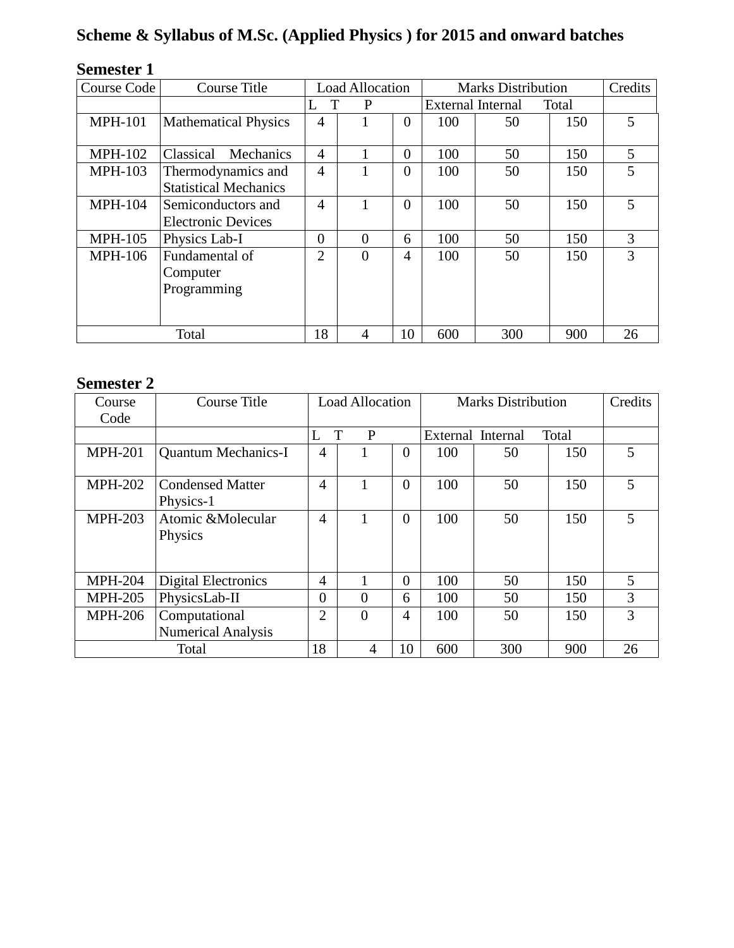# **Scheme & Syllabus of M.Sc. (Applied Physics ) for 2015 and onward batches**

| DUMUƏRI 1      |                                                    |                        |          |                |                                   |     |     |         |
|----------------|----------------------------------------------------|------------------------|----------|----------------|-----------------------------------|-----|-----|---------|
| Course Code    | Course Title                                       | <b>Load Allocation</b> |          |                | <b>Marks Distribution</b>         |     |     | Credits |
|                |                                                    | T<br>L                 | P        |                | <b>External Internal</b><br>Total |     |     |         |
| <b>MPH-101</b> | <b>Mathematical Physics</b>                        | 4                      |          | $\overline{0}$ | 100                               | 50  | 150 | 5       |
| <b>MPH-102</b> | Classical<br>Mechanics                             | $\overline{4}$         |          | $\theta$       | 100                               | 50  | 150 | 5       |
| <b>MPH-103</b> | Thermodynamics and<br><b>Statistical Mechanics</b> | $\overline{4}$         |          | $\overline{0}$ | 100                               | 50  | 150 | 5       |
| <b>MPH-104</b> | Semiconductors and<br><b>Electronic Devices</b>    | $\overline{4}$         |          | $\overline{0}$ | 100                               | 50  | 150 | 5       |
| <b>MPH-105</b> | Physics Lab-I                                      | $\overline{0}$         | $\Omega$ | 6              | 100                               | 50  | 150 | 3       |
| <b>MPH-106</b> | Fundamental of<br>Computer<br>Programming          | $\overline{2}$         | $\theta$ | 4              | 100                               | 50  | 150 | 3       |
|                | Total                                              | 18                     | 4        | 10             | 600                               | 300 | 900 | 26      |

## **Semester 1**

# **Semester 2**

| Course<br>Code | Course Title                               | Load Allocation |          | <b>Marks Distribution</b> |     |                   | Credits |    |
|----------------|--------------------------------------------|-----------------|----------|---------------------------|-----|-------------------|---------|----|
|                |                                            |                 | T<br>P   |                           |     | External Internal | Total   |    |
| <b>MPH-201</b> | <b>Quantum Mechanics-I</b>                 | 4               |          | $\overline{0}$            | 100 | 50                | 150     | 5  |
| <b>MPH-202</b> | <b>Condensed Matter</b><br>Physics-1       | $\overline{4}$  |          | $\overline{0}$            | 100 | 50                | 150     | 5  |
| <b>MPH-203</b> | Atomic & Molecular<br>Physics              | 4               |          | $\overline{0}$            | 100 | 50                | 150     | 5  |
| <b>MPH-204</b> | <b>Digital Electronics</b>                 | 4               |          | $\overline{0}$            | 100 | 50                | 150     | 5  |
| <b>MPH-205</b> | PhysicsLab-II                              | $\theta$        | $\theta$ | 6                         | 100 | 50                | 150     | 3  |
| <b>MPH-206</b> | Computational<br><b>Numerical Analysis</b> | $\overline{2}$  | $\theta$ | 4                         | 100 | 50                | 150     | 3  |
| Total          |                                            | 18              | 4        | 10                        | 600 | 300               | 900     | 26 |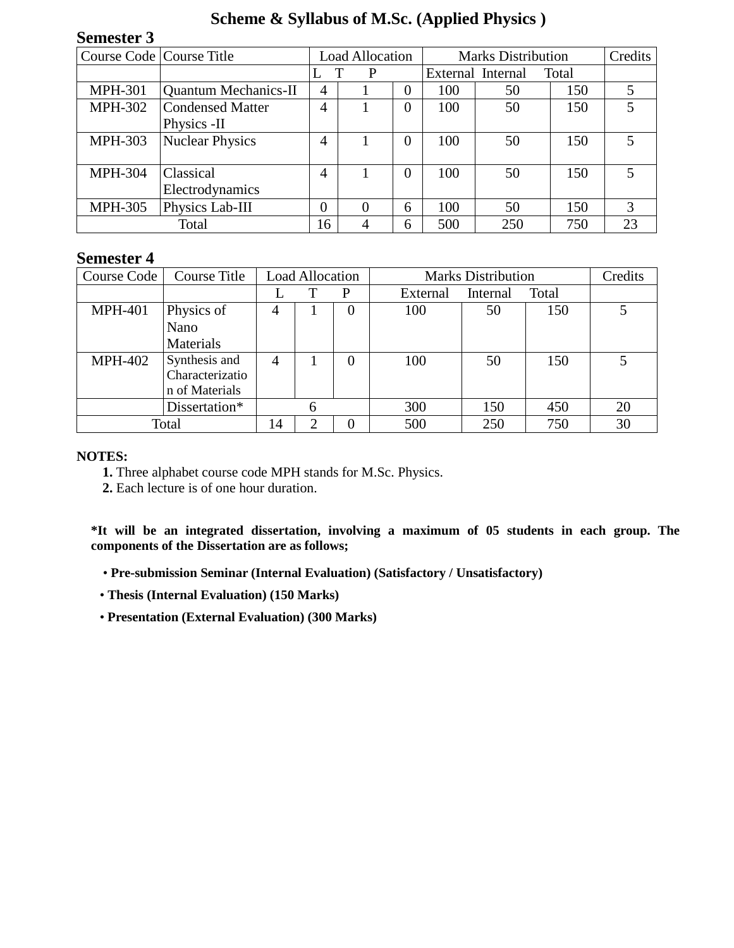## **Scheme & Syllabus of M.Sc. (Applied Physics )**

## **Semester 3**

| Course Code   Course Title |                             | <b>Load Allocation</b> |   | <b>Marks Distribution</b> |     |                   | Credits |    |
|----------------------------|-----------------------------|------------------------|---|---------------------------|-----|-------------------|---------|----|
|                            |                             |                        | P |                           |     | External Internal | Total   |    |
| <b>MPH-301</b>             | <b>Quantum Mechanics-II</b> | 4                      |   | $\overline{0}$            | 100 | 50                | 150     |    |
| <b>MPH-302</b>             | Condensed Matter            | 4                      |   | $\Omega$                  | 100 | 50                | 150     | 5  |
|                            | Physics -II                 |                        |   |                           |     |                   |         |    |
| <b>MPH-303</b>             | <b>Nuclear Physics</b>      | 4                      |   | $\theta$                  | 100 | 50                | 150     | 5  |
|                            |                             |                        |   |                           |     |                   |         |    |
| <b>MPH-304</b>             | <b>Classical</b>            | 4                      |   | $\Omega$                  | 100 | 50                | 150     | 5  |
|                            | Electrodynamics             |                        |   |                           |     |                   |         |    |
| <b>MPH-305</b>             | Physics Lab-III             | $\Omega$               | 0 | 6                         | 100 | 50                | 150     | 3  |
|                            | Total                       | 16                     | 4 | 6                         | 500 | 250               | 750     | 23 |

## **Semester 4**

| Course Code    | Course Title    | <b>Load Allocation</b> |   |          | <b>Marks Distribution</b> | Credits  |       |    |
|----------------|-----------------|------------------------|---|----------|---------------------------|----------|-------|----|
|                |                 |                        |   | P        | External                  | Internal | Total |    |
| <b>MPH-401</b> | Physics of      | $\overline{4}$         |   | 0        | 100                       | 50       | 150   |    |
|                | Nano            |                        |   |          |                           |          |       |    |
|                | Materials       |                        |   |          |                           |          |       |    |
| <b>MPH-402</b> | Synthesis and   | 4                      |   | $\Omega$ | 100                       | 50       | 150   |    |
|                | Characterizatio |                        |   |          |                           |          |       |    |
|                | n of Materials  |                        |   |          |                           |          |       |    |
|                | Dissertation*   |                        | 6 |          | 300                       | 150      | 450   | 20 |
| Total          |                 | 14                     | ി |          | 500                       | 250      | 750   | 30 |

## **NOTES:**

**1.** Three alphabet course code MPH stands for M.Sc. Physics.

**2.** Each lecture is of one hour duration.

**\*It will be an integrated dissertation, involving a maximum of 05 students in each group. The components of the Dissertation are as follows;**

• **Pre-submission Seminar (Internal Evaluation) (Satisfactory / Unsatisfactory)** 

- **Thesis (Internal Evaluation) (150 Marks)**
- **Presentation (External Evaluation) (300 Marks)**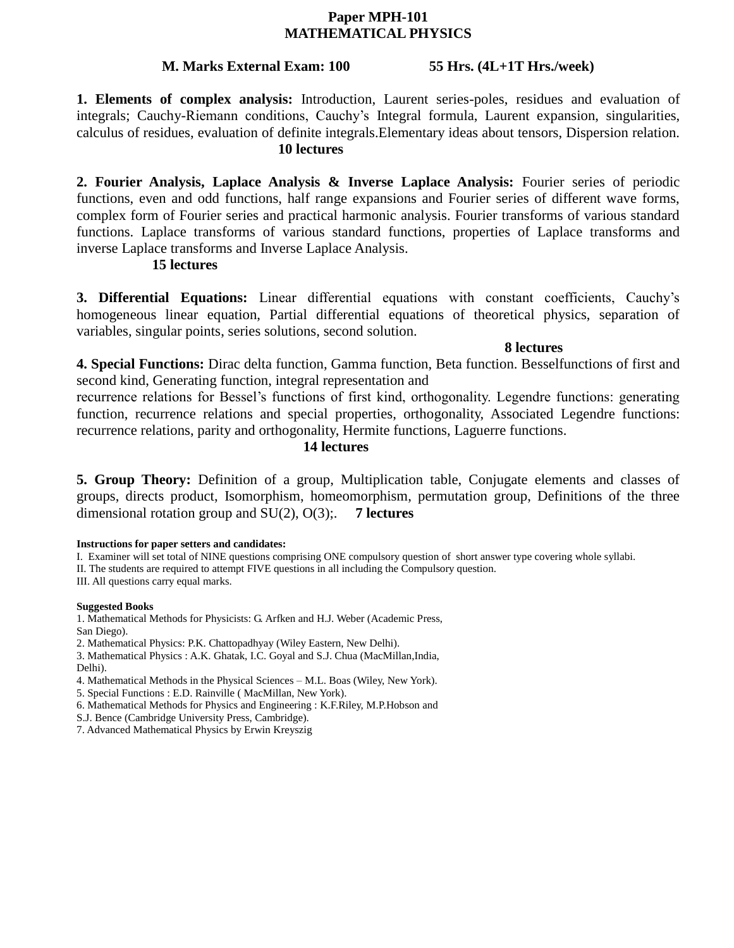## **Paper MPH-101 MATHEMATICAL PHYSICS**

## **M. Marks External Exam: 100 55 Hrs. (4L+1T Hrs./week)**

**1. Elements of complex analysis:** Introduction, Laurent series-poles, residues and evaluation of integrals; Cauchy-Riemann conditions, Cauchy's Integral formula, Laurent expansion, singularities, calculus of residues, evaluation of definite integrals.Elementary ideas about tensors, Dispersion relation. **10 lectures**

**2. Fourier Analysis, Laplace Analysis & Inverse Laplace Analysis:** Fourier series of periodic functions, even and odd functions, half range expansions and Fourier series of different wave forms, complex form of Fourier series and practical harmonic analysis. Fourier transforms of various standard functions. Laplace transforms of various standard functions, properties of Laplace transforms and inverse Laplace transforms and Inverse Laplace Analysis.

## **15 lectures**

**3. Differential Equations:** Linear differential equations with constant coefficients, Cauchy's homogeneous linear equation, Partial differential equations of theoretical physics, separation of variables, singular points, series solutions, second solution.

**8 lectures**

**4. Special Functions:** Dirac delta function, Gamma function, Beta function. Besselfunctions of first and second kind, Generating function, integral representation and

recurrence relations for Bessel's functions of first kind, orthogonality. Legendre functions: generating function, recurrence relations and special properties, orthogonality, Associated Legendre functions: recurrence relations, parity and orthogonality, Hermite functions, Laguerre functions.

## **14 lectures**

**5. Group Theory:** Definition of a group, Multiplication table, Conjugate elements and classes of groups, directs product, Isomorphism, homeomorphism, permutation group, Definitions of the three dimensional rotation group and SU(2), O(3);. **7 lectures**

### **Instructions for paper setters and candidates:**

I. Examiner will set total of NINE questions comprising ONE compulsory question of short answer type covering whole syllabi.

II. The students are required to attempt FIVE questions in all including the Compulsory question.

III. All questions carry equal marks.

### **Suggested Books**

1. Mathematical Methods for Physicists: G. Arfken and H.J. Weber (Academic Press, San Diego).

2. Mathematical Physics: P.K. Chattopadhyay (Wiley Eastern, New Delhi).

3. Mathematical Physics : A.K. Ghatak, I.C. Goyal and S.J. Chua (MacMillan,India, Delhi).

4. Mathematical Methods in the Physical Sciences – M.L. Boas (Wiley, New York).

5. Special Functions : E.D. Rainville ( MacMillan, New York).

6. Mathematical Methods for Physics and Engineering : K.F.Riley, M.P.Hobson and

S.J. Bence (Cambridge University Press, Cambridge).

7. Advanced Mathematical Physics by Erwin Kreyszig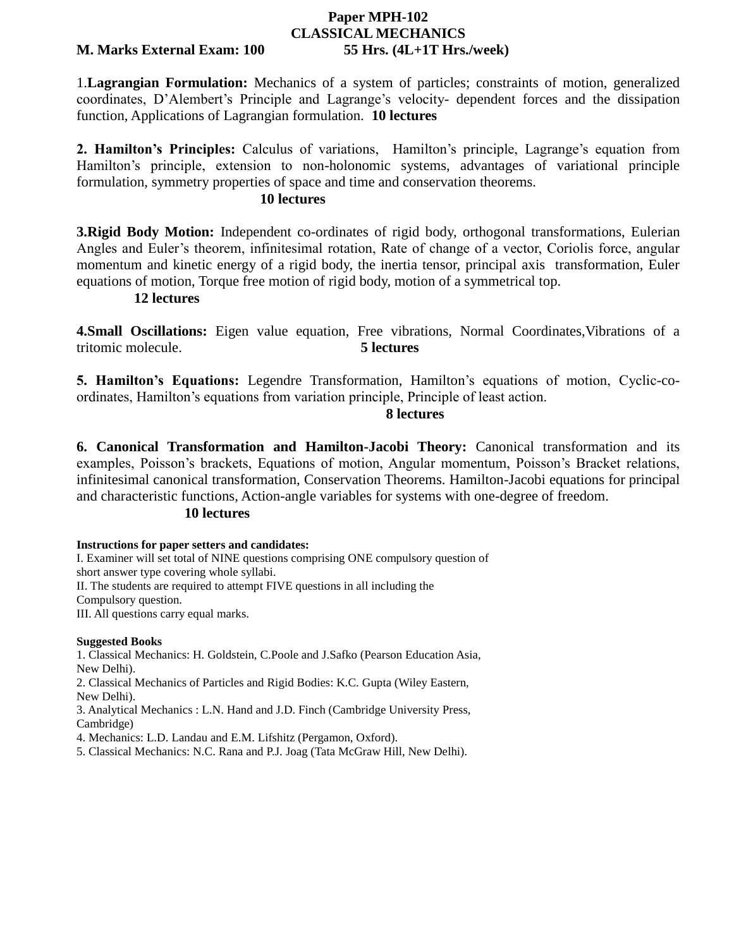# **Paper MPH-102 CLASSICAL MECHANICS**

### **M. Marks External Exam: 100 55 Hrs. (4L+1T Hrs./week)**

1.**Lagrangian Formulation:** Mechanics of a system of particles; constraints of motion, generalized coordinates, D'Alembert's Principle and Lagrange's velocity- dependent forces and the dissipation function, Applications of Lagrangian formulation. **10 lectures** 

**2. Hamilton's Principles:** Calculus of variations, Hamilton's principle, Lagrange's equation from Hamilton's principle, extension to non-holonomic systems, advantages of variational principle formulation, symmetry properties of space and time and conservation theorems.

## **10 lectures**

**3. Rigid Body Motion:** Independent co-ordinates of rigid body, orthogonal transformations, Eulerian Angles and Euler's theorem, infinitesimal rotation, Rate of change of a vector, Coriolis force, angular momentum and kinetic energy of a rigid body, the inertia tensor, principal axis transformation, Euler equations of motion, Torque free motion of rigid body, motion of a symmetrical top.

## **12 lectures**

**4.Small Oscillations:** Eigen value equation, Free vibrations, Normal Coordinates,Vibrations of a tritomic molecule. **5 lectures** 

**5. Hamilton's Equations:** Legendre Transformation, Hamilton's equations of motion, Cyclic-coordinates, Hamilton's equations from variation principle, Principle of least action.

## **8 lectures**

**6. Canonical Transformation and Hamilton-Jacobi Theory:** Canonical transformation and its examples, Poisson's brackets, Equations of motion, Angular momentum, Poisson's Bracket relations, infinitesimal canonical transformation, Conservation Theorems. Hamilton-Jacobi equations for principal and characteristic functions, Action-angle variables for systems with one-degree of freedom.

## **10 lectures**

### **Instructions for paper setters and candidates:**

I. Examiner will set total of NINE questions comprising ONE compulsory question of short answer type covering whole syllabi. II. The students are required to attempt FIVE questions in all including the Compulsory question. III. All questions carry equal marks.

### **Suggested Books**

1. Classical Mechanics: H. Goldstein, C.Poole and J.Safko (Pearson Education Asia, New Delhi).

2. Classical Mechanics of Particles and Rigid Bodies: K.C. Gupta (Wiley Eastern, New Delhi).

3. Analytical Mechanics : L.N. Hand and J.D. Finch (Cambridge University Press, Cambridge)

4. Mechanics: L.D. Landau and E.M. Lifshitz (Pergamon, Oxford).

5. Classical Mechanics: N.C. Rana and P.J. Joag (Tata McGraw Hill, New Delhi).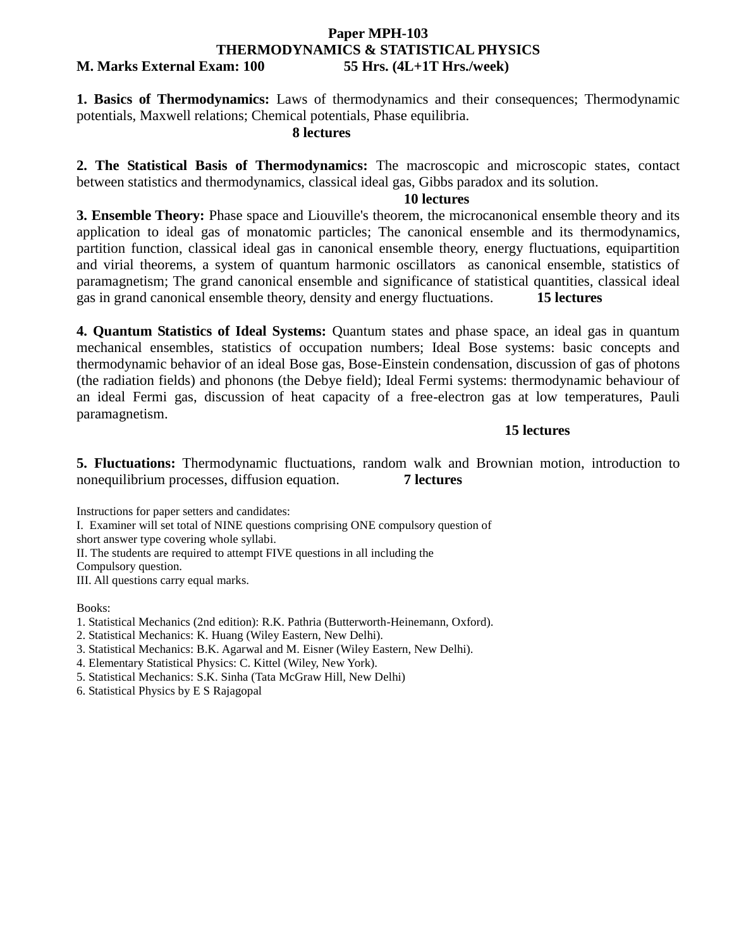## **Paper MPH-103 THERMODYNAMICS & STATISTICAL PHYSICS M. Marks External Exam: 100 55 Hrs. (4L+1T Hrs./week)**

**1. Basics of Thermodynamics:** Laws of thermodynamics and their consequences; Thermodynamic potentials, Maxwell relations; Chemical potentials, Phase equilibria.

## **8 lectures**

**2. The Statistical Basis of Thermodynamics:** The macroscopic and microscopic states, contact between statistics and thermodynamics, classical ideal gas, Gibbs paradox and its solution.

## **10 lectures**

**3. Ensemble Theory:** Phase space and Liouville's theorem, the microcanonical ensemble theory and its application to ideal gas of monatomic particles; The canonical ensemble and its thermodynamics, partition function, classical ideal gas in canonical ensemble theory, energy fluctuations, equipartition and virial theorems, a system of quantum harmonic oscillators as canonical ensemble, statistics of paramagnetism; The grand canonical ensemble and significance of statistical quantities, classical ideal gas in grand canonical ensemble theory, density and energy fluctuations. **15 lectures**

**4. Quantum Statistics of Ideal Systems:** Quantum states and phase space, an ideal gas in quantum mechanical ensembles, statistics of occupation numbers; Ideal Bose systems: basic concepts and thermodynamic behavior of an ideal Bose gas, Bose-Einstein condensation, discussion of gas of photons (the radiation fields) and phonons (the Debye field); Ideal Fermi systems: thermodynamic behaviour of an ideal Fermi gas, discussion of heat capacity of a free-electron gas at low temperatures, Pauli paramagnetism.

## **15 lectures**

**5. Fluctuations:** Thermodynamic fluctuations, random walk and Brownian motion, introduction to nonequilibrium processes, diffusion equation. **7 lectures**

Instructions for paper setters and candidates:

I. Examiner will set total of NINE questions comprising ONE compulsory question of

short answer type covering whole syllabi.

II. The students are required to attempt FIVE questions in all including the

Compulsory question.

III. All questions carry equal marks.

Books:

1. Statistical Mechanics (2nd edition): R.K. Pathria (Butterworth-Heinemann, Oxford).

2. Statistical Mechanics: K. Huang (Wiley Eastern, New Delhi).

3. Statistical Mechanics: B.K. Agarwal and M. Eisner (Wiley Eastern, New Delhi).

4. Elementary Statistical Physics: C. Kittel (Wiley, New York).

5. Statistical Mechanics: S.K. Sinha (Tata McGraw Hill, New Delhi)

6. Statistical Physics by E S Rajagopal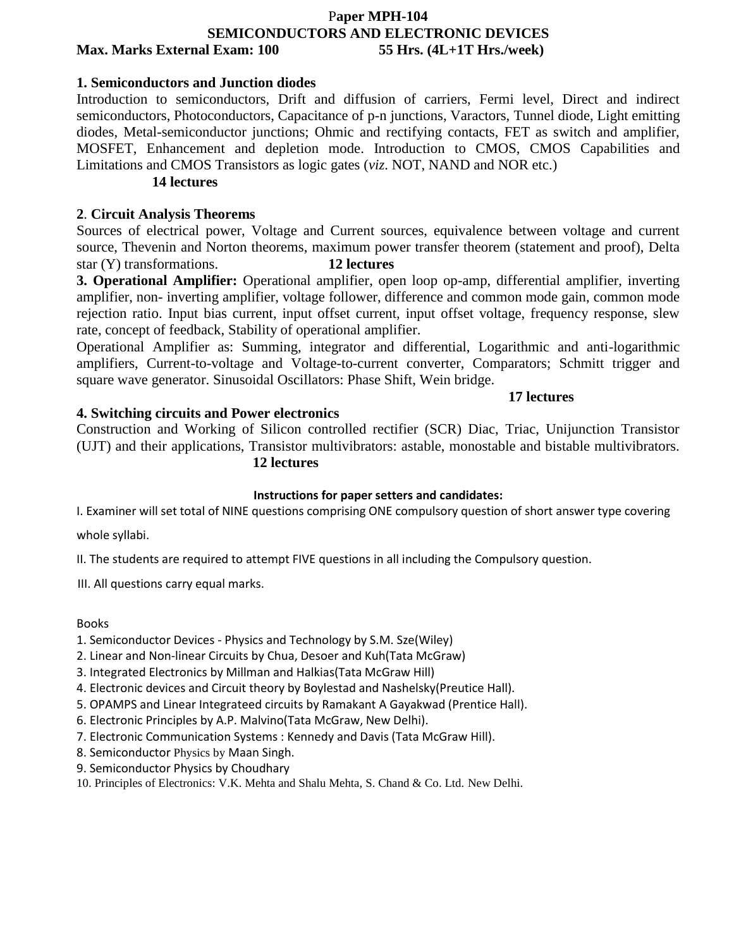## P**aper MPH-104 SEMICONDUCTORS AND ELECTRONIC DEVICES Max. Marks External Exam: 100 55 Hrs. (4L+1T Hrs./week)**

## **1. Semiconductors and Junction diodes**

Introduction to semiconductors, Drift and diffusion of carriers, Fermi level, Direct and indirect semiconductors, Photoconductors, Capacitance of p-n junctions, Varactors, Tunnel diode, Light emitting diodes, Metal-semiconductor junctions; Ohmic and rectifying contacts, FET as switch and amplifier, MOSFET, Enhancement and depletion mode. Introduction to CMOS, CMOS Capabilities and Limitations and CMOS Transistors as logic gates (*viz*. NOT, NAND and NOR etc.)

## **14 lectures**

## **2**. **Circuit Analysis Theorems**

Sources of electrical power, Voltage and Current sources, equivalence between voltage and current source, Thevenin and Norton theorems, maximum power transfer theorem (statement and proof), Delta star (Y) transformations. **12 lectures**

**3. Operational Amplifier:** Operational amplifier, open loop op-amp, differential amplifier, inverting amplifier, non- inverting amplifier, voltage follower, difference and common mode gain, common mode rejection ratio. Input bias current, input offset current, input offset voltage, frequency response, slew rate, concept of feedback, Stability of operational amplifier.

Operational Amplifier as: Summing, integrator and differential, Logarithmic and anti-logarithmic amplifiers, Current-to-voltage and Voltage-to-current converter, Comparators; Schmitt trigger and square wave generator. Sinusoidal Oscillators: Phase Shift, Wein bridge.

## **4. Switching circuits and Power electronics**

## **17 lectures**

Construction and Working of Silicon controlled rectifier (SCR) Diac, Triac, Unijunction Transistor (UJT) and their applications, Transistor multivibrators: astable, monostable and bistable multivibrators.

## **12 lectures**

## **Instructions for paper setters and candidates:**

I. Examiner will set total of NINE questions comprising ONE compulsory question of short answer type covering

whole syllabi.

II. The students are required to attempt FIVE questions in all including the Compulsory question.

III. All questions carry equal marks.

Books

- 1. Semiconductor Devices Physics and Technology by S.M. Sze(Wiley)
- 2. Linear and Non-linear Circuits by Chua, Desoer and Kuh(Tata McGraw)
- 3. Integrated Electronics by Millman and Halkias(Tata McGraw Hill)
- 4. Electronic devices and Circuit theory by Boylestad and Nashelsky(Preutice Hall).
- 5. OPAMPS and Linear Integrateed circuits by Ramakant A Gayakwad (Prentice Hall).
- 6. Electronic Principles by A.P. Malvino(Tata McGraw, New Delhi).
- 7. Electronic Communication Systems : Kennedy and Davis (Tata McGraw Hill).
- 8. Semiconductor Physics by Maan Singh.
- 9. Semiconductor Physics by Choudhary
- 10. Principles of Electronics: V.K. Mehta and Shalu Mehta, S. Chand & Co. Ltd. New Delhi.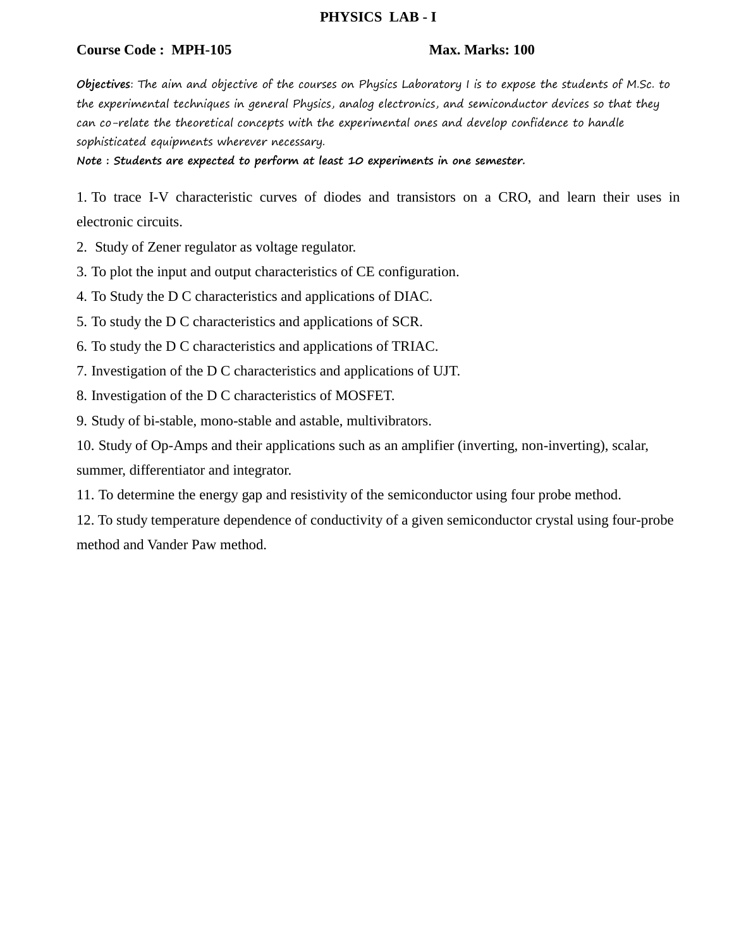## **PHYSICS LAB - I**

## **Course Code : MPH-105 Max. Marks: 100**

**Objectives**: The aim and objective of the courses on Physics Laboratory I is to expose the students of M.Sc. to the experimental techniques in general Physics, analog electronics, and semiconductor devices so that they can co-relate the theoretical concepts with the experimental ones and develop confidence to handle sophisticated equipments wherever necessary.

**Note : Students are expected to perform at least 10 experiments in one semester.**

1. To trace I-V characteristic curves of diodes and transistors on a CRO, and learn their uses in electronic circuits.

2. Study of Zener regulator as voltage regulator.

3. To plot the input and output characteristics of CE configuration.

4. To Study the D C characteristics and applications of DIAC.

5. To study the D C characteristics and applications of SCR.

6. To study the D C characteristics and applications of TRIAC.

7. Investigation of the D C characteristics and applications of UJT.

8. Investigation of the D C characteristics of MOSFET.

9. Study of bi-stable, mono-stable and astable, multivibrators.

10. Study of Op-Amps and their applications such as an amplifier (inverting, non-inverting), scalar, summer, differentiator and integrator.

11. To determine the energy gap and resistivity of the semiconductor using four probe method.

12. To study temperature dependence of conductivity of a given semiconductor crystal using four-probe method and Vander Paw method.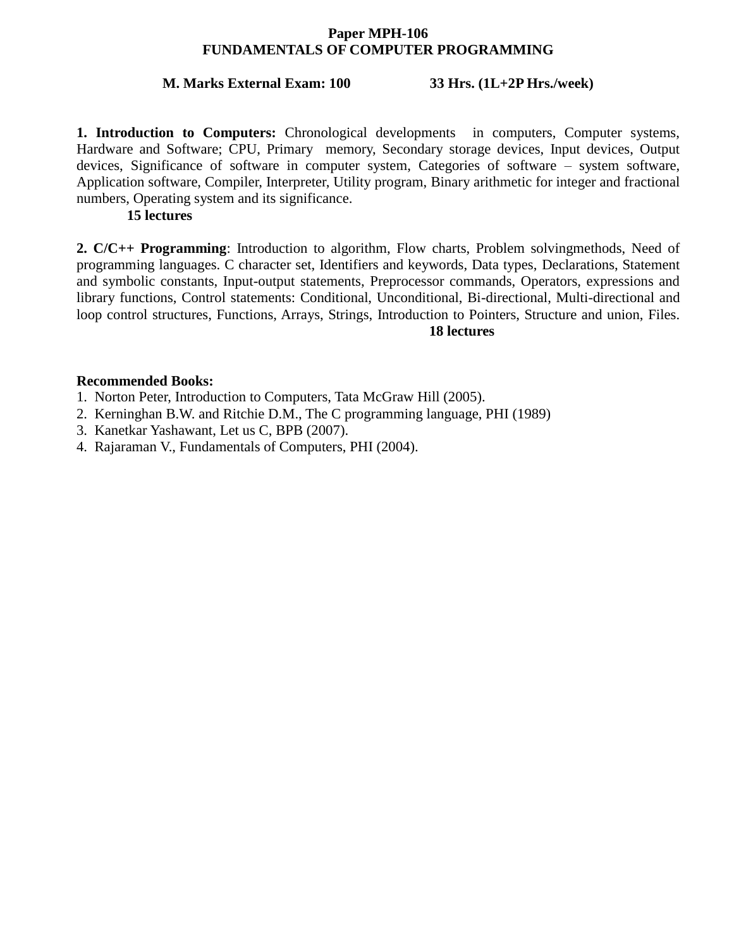## **Paper MPH-106 FUNDAMENTALS OF COMPUTER PROGRAMMING**

## **M. Marks External Exam: 100 33 Hrs. (1L+2P Hrs./week)**

**1. Introduction to Computers:** Chronological developments in computers, Computer systems, Hardware and Software; CPU, Primary memory, Secondary storage devices, Input devices, Output devices, Significance of software in computer system, Categories of software – system software, Application software, Compiler, Interpreter, Utility program, Binary arithmetic for integer and fractional numbers, Operating system and its significance.

## **15 lectures**

**2. C/C++ Programming**: Introduction to algorithm, Flow charts, Problem solvingmethods, Need of programming languages. C character set, Identifiers and keywords, Data types, Declarations, Statement and symbolic constants, Input-output statements, Preprocessor commands, Operators, expressions and library functions, Control statements: Conditional, Unconditional, Bi-directional, Multi-directional and loop control structures, Functions, Arrays, Strings, Introduction to Pointers, Structure and union, Files. **18 lectures**

## **Recommended Books:**

- 1. Norton Peter, Introduction to Computers, Tata McGraw Hill (2005).
- 2. Kerninghan B.W. and Ritchie D.M., The C programming language, PHI (1989)
- 3. Kanetkar Yashawant, Let us C, BPB (2007).
- 4. Rajaraman V., Fundamentals of Computers, PHI (2004).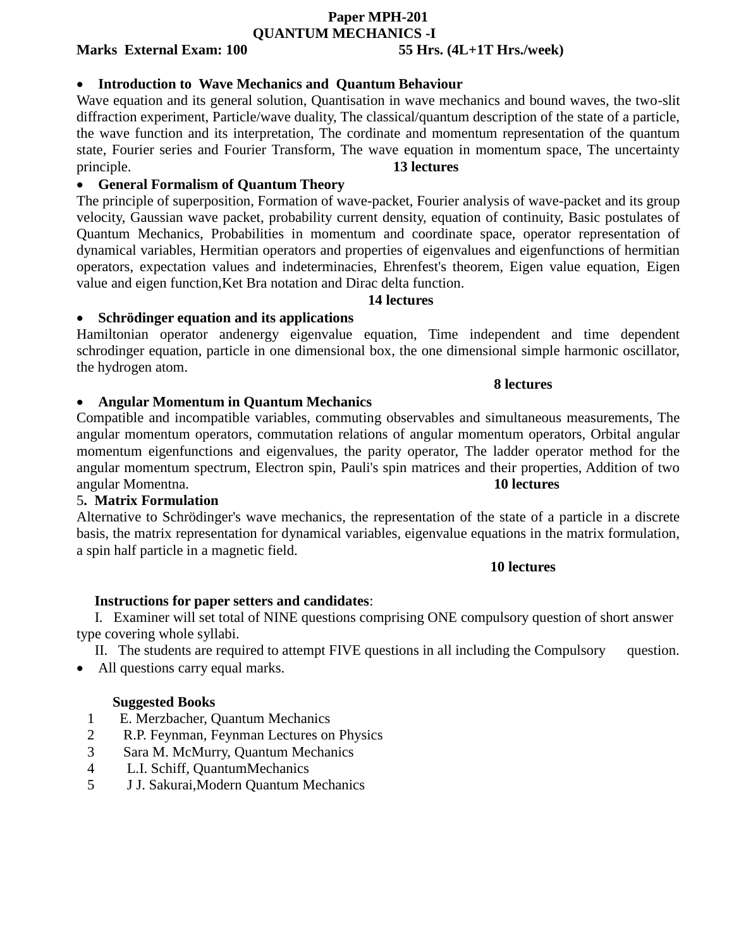## **Paper MPH-201 QUANTUM MECHANICS -I**

## **Marks External Exam: 100 55 Hrs. (4L+1T Hrs./week)**

## **Introduction to Wave Mechanics and Quantum Behaviour**

Wave equation and its general solution, Quantisation in wave mechanics and bound waves, the two-slit diffraction experiment, Particle/wave duality, The classical/quantum description of the state of a particle, the wave function and its interpretation, The cordinate and momentum representation of the quantum state, Fourier series and Fourier Transform, The wave equation in momentum space, The uncertainty principle. **13 lectures**

## **General Formalism of Quantum Theory**

The principle of superposition, Formation of wave-packet, Fourier analysis of wave-packet and its group velocity, Gaussian wave packet, probability current density, equation of continuity, Basic postulates of Quantum Mechanics, Probabilities in momentum and coordinate space, operator representation of dynamical variables, Hermitian operators and properties of eigenvalues and eigenfunctions of hermitian operators, expectation values and indeterminacies, Ehrenfest's theorem, Eigen value equation, Eigen value and eigen function,Ket Bra notation and Dirac delta function.

## **14 lectures**

## **Schrödinger equation and its applications**

Hamiltonian operator andenergy eigenvalue equation, Time independent and time dependent schrodinger equation, particle in one dimensional box, the one dimensional simple harmonic oscillator, the hydrogen atom.

## **8 lectures**

## **Angular Momentum in Quantum Mechanics**

Compatible and incompatible variables, commuting observables and simultaneous measurements, The angular momentum operators, commutation relations of angular momentum operators, Orbital angular momentum eigenfunctions and eigenvalues, the parity operator, The ladder operator method for the angular momentum spectrum, Electron spin, Pauli's spin matrices and their properties, Addition of two angular Momentna. **10 lectures**

## 5**. Matrix Formulation**

Alternative to Schrödinger's wave mechanics, the representation of the state of a particle in a discrete basis, the matrix representation for dynamical variables, eigenvalue equations in the matrix formulation, a spin half particle in a magnetic field.

## **10 lectures**

## **Instructions for paper setters and candidates**:

 I. Examiner will set total of NINE questions comprising ONE compulsory question of short answer type covering whole syllabi.

II. The students are required to attempt FIVE questions in all including the Compulsory question.

• All questions carry equal marks.

## **Suggested Books**

- 1 E. Merzbacher, Quantum Mechanics
- 2 R.P. Feynman, Feynman Lectures on Physics
- 3 Sara M. McMurry, Quantum Mechanics
- 4 L.I. Schiff, QuantumMechanics
- 5 J J. Sakurai,Modern Quantum Mechanics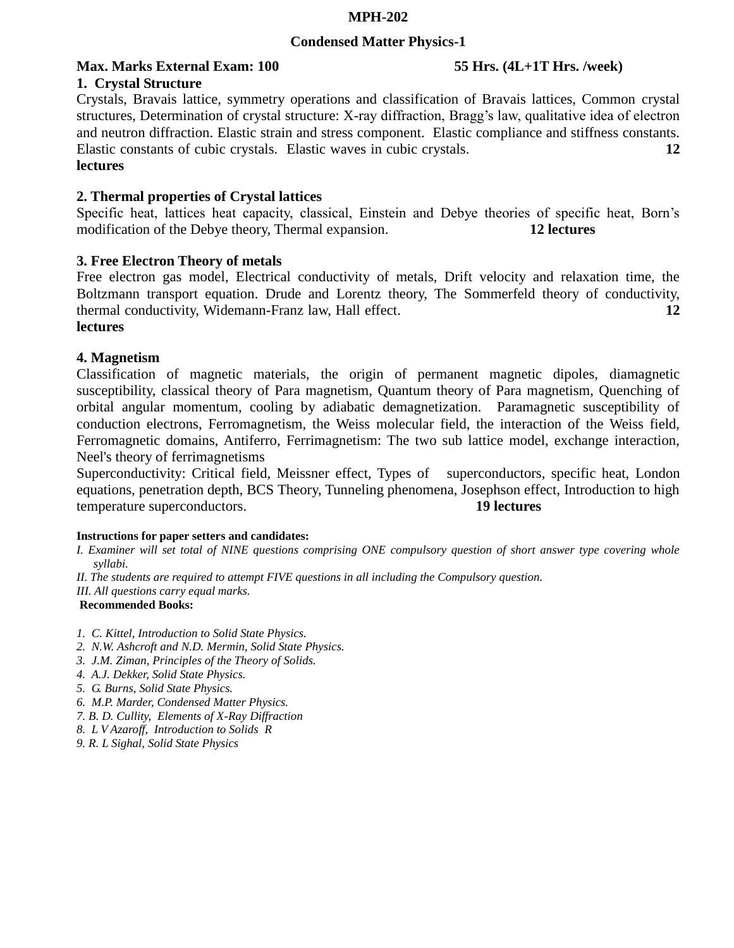## **MPH-202**

## **Condensed Matter Physics-1**

# **Max. Marks External Exam: 100 55 Hrs. (4L+1T Hrs. /week)**

## **1. Crystal Structure**

Crystals, Bravais lattice, symmetry operations and classification of Bravais lattices, Common crystal structures, Determination of crystal structure: X-ray diffraction, Bragg's law, qualitative idea of electron and neutron diffraction. Elastic strain and stress component. Elastic compliance and stiffness constants. Elastic constants of cubic crystals. Elastic waves in cubic crystals. **12 lectures**

## **2. Thermal properties of Crystal lattices**

Specific heat, lattices heat capacity, classical, Einstein and Debye theories of specific heat, Born's modification of the Debye theory, Thermal expansion. **12 lectures**

## **3. Free Electron Theory of metals**

Free electron gas model, Electrical conductivity of metals, Drift velocity and relaxation time, the Boltzmann transport equation. Drude and Lorentz theory, The Sommerfeld theory of conductivity, thermal conductivity, Widemann-Franz law, Hall effect. **12** 

## **lectures**

## **4. Magnetism**

Classification of magnetic materials, the origin of permanent magnetic dipoles, diamagnetic susceptibility, classical theory of Para magnetism, Quantum theory of Para magnetism, Quenching of orbital angular momentum, cooling by adiabatic demagnetization. Paramagnetic susceptibility of conduction electrons, Ferromagnetism, the Weiss molecular field, the interaction of the Weiss field, Ferromagnetic domains, Antiferro, Ferrimagnetism: The two sub lattice model, exchange interaction, Neel's theory of ferrimagnetisms

Superconductivity: Critical field, Meissner effect, Types of superconductors, specific heat, London equations, penetration depth, BCS Theory, Tunneling phenomena, Josephson effect, Introduction to high temperature superconductors. **19 lectures**

## **Instructions for paper setters and candidates:**

- *I. Examiner will set total of NINE questions comprising ONE compulsory question of short answer type covering whole syllabi.*
- *II. The students are required to attempt FIVE questions in all including the Compulsory question.*
- *III. All questions carry equal marks.*

## **Recommended Books:**

- *1. C. Kittel, Introduction to Solid State Physics.*
- *2. N.W. Ashcroft and N.D. Mermin, Solid State Physics.*
- *3. J.M. Ziman, Principles of the Theory of Solids.*
- *4. A.J. Dekker, Solid State Physics.*
- *5. G. Burns, Solid State Physics.*
- *6. M.P. Marder, Condensed Matter Physics.*
- *7. B. D. Cullity, Elements of X-Ray Diffraction*
- *8. L V Azaroff, Introduction to Solids R*
- *9. R. L Sighal, Solid State Physics*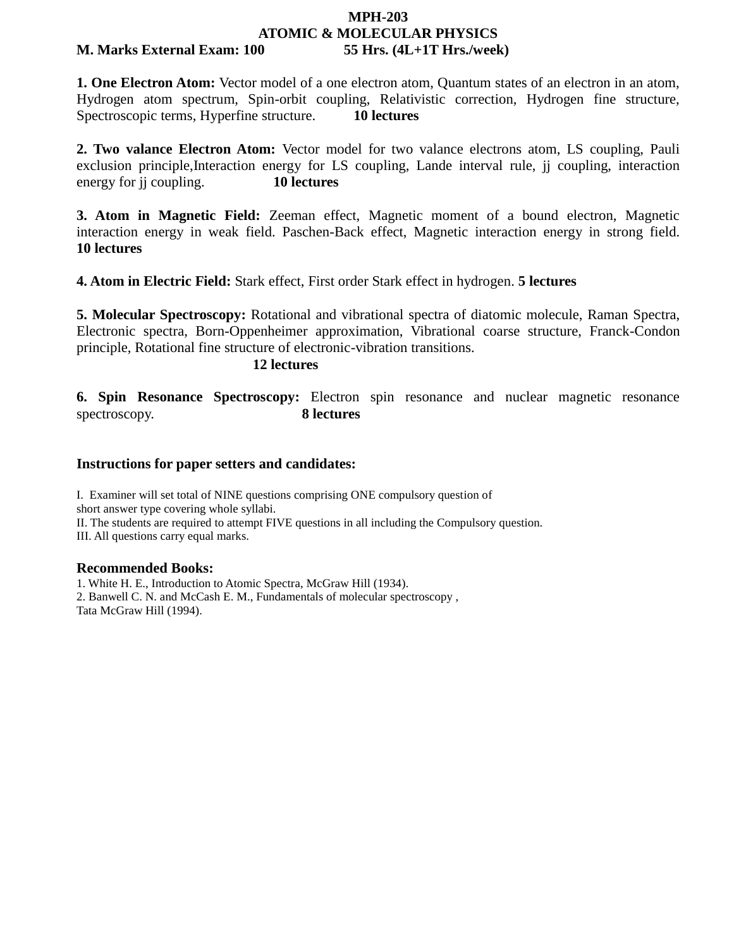## **MPH-203 ATOMIC & MOLECULAR PHYSICS M. Marks External Exam: 100 55 Hrs. (4L+1T Hrs./week)**

**1. One Electron Atom:** Vector model of a one electron atom, Quantum states of an electron in an atom, Hydrogen atom spectrum, Spin-orbit coupling, Relativistic correction, Hydrogen fine structure, Spectroscopic terms, Hyperfine structure. **10 lectures**

**2. Two valance Electron Atom:** Vector model for two valance electrons atom, LS coupling, Pauli exclusion principle,Interaction energy for LS coupling, Lande interval rule, jj coupling, interaction energy for jj coupling. **10 lectures**

**3. Atom in Magnetic Field:** Zeeman effect, Magnetic moment of a bound electron, Magnetic interaction energy in weak field. Paschen-Back effect, Magnetic interaction energy in strong field. **10 lectures**

**4. Atom in Electric Field:** Stark effect, First order Stark effect in hydrogen. **5 lectures**

**5. Molecular Spectroscopy:** Rotational and vibrational spectra of diatomic molecule, Raman Spectra, Electronic spectra, Born-Oppenheimer approximation, Vibrational coarse structure, Franck-Condon principle, Rotational fine structure of electronic-vibration transitions.

**12 lectures**

**6. Spin Resonance Spectroscopy:** Electron spin resonance and nuclear magnetic resonance spectroscopy. **8 lectures** 

## **Instructions for paper setters and candidates:**

I. Examiner will set total of NINE questions comprising ONE compulsory question of

short answer type covering whole syllabi.

II. The students are required to attempt FIVE questions in all including the Compulsory question.

III. All questions carry equal marks.

## **Recommended Books:**

1. White H. E., Introduction to Atomic Spectra, McGraw Hill (1934). 2. Banwell C. N. and McCash E. M., Fundamentals of molecular spectroscopy , Tata McGraw Hill (1994).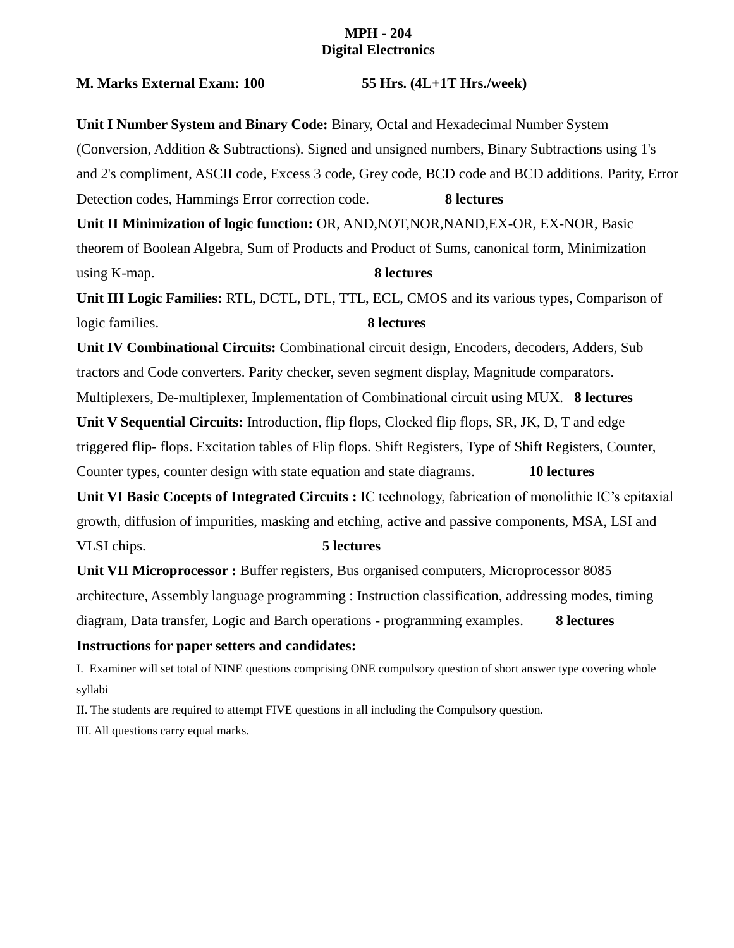## **MPH - 204 Digital Electronics**

## **M. Marks External Exam: 100 55 Hrs. (4L+1T Hrs./week)**

**Unit I Number System and Binary Code:** Binary, Octal and Hexadecimal Number System (Conversion, Addition & Subtractions). Signed and unsigned numbers, Binary Subtractions using 1's and 2's compliment, ASCII code, Excess 3 code, Grey code, BCD code and BCD additions. Parity, Error Detection codes, Hammings Error correction code. **8 lectures Unit II Minimization of logic function:** OR, AND,NOT,NOR,NAND,EX-OR, EX-NOR, Basic theorem of Boolean Algebra, Sum of Products and Product of Sums, canonical form, Minimization using K-map. **8 lectures Unit III Logic Families:** RTL, DCTL, DTL, TTL, ECL, CMOS and its various types, Comparison of logic families. **8 lectures Unit IV Combinational Circuits:** Combinational circuit design, Encoders, decoders, Adders, Sub tractors and Code converters. Parity checker, seven segment display, Magnitude comparators. Multiplexers, De-multiplexer, Implementation of Combinational circuit using MUX. **8 lectures Unit V Sequential Circuits:** Introduction, flip flops, Clocked flip flops, SR, JK, D, T and edge triggered flip- flops. Excitation tables of Flip flops. Shift Registers, Type of Shift Registers, Counter, Counter types, counter design with state equation and state diagrams. **10 lectures Unit VI Basic Cocepts of Integrated Circuits :** IC technology, fabrication of monolithic IC's epitaxial growth, diffusion of impurities, masking and etching, active and passive components, MSA, LSI and VLSI chips. **5 lectures Unit VII Microprocessor :** Buffer registers, Bus organised computers, Microprocessor 8085 architecture, Assembly language programming : Instruction classification, addressing modes, timing

diagram, Data transfer, Logic and Barch operations - programming examples. **8 lectures**

## **Instructions for paper setters and candidates:**

I. Examiner will set total of NINE questions comprising ONE compulsory question of short answer type covering whole syllabi

II. The students are required to attempt FIVE questions in all including the Compulsory question.

III. All questions carry equal marks.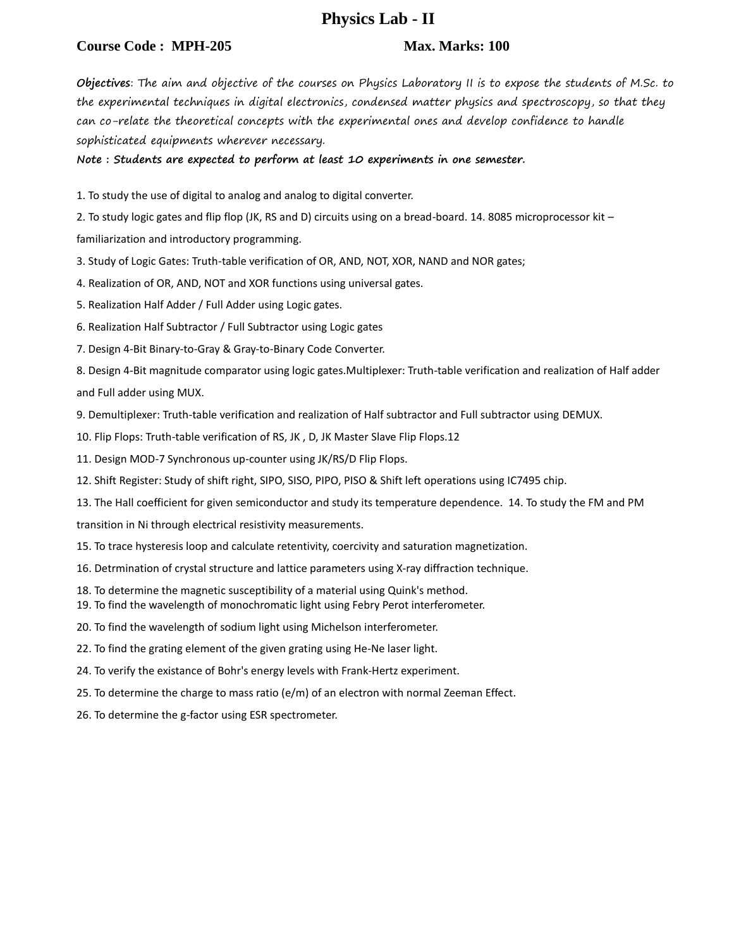## **Physics Lab - II**

## **Course Code : MPH-205 Max. Marks: 100 Max. Marks: 100**

**Objectives**: The aim and objective of the courses on Physics Laboratory II is to expose the students of M.Sc. to the experimental techniques in digital electronics, condensed matter physics and spectroscopy, so that they can co-relate the theoretical concepts with the experimental ones and develop confidence to handle sophisticated equipments wherever necessary.

**Note : Students are expected to perform at least 10 experiments in one semester.**

1. To study the use of digital to analog and analog to digital converter.

2. To study logic gates and flip flop (JK, RS and D) circuits using on a bread-board. 14. 8085 microprocessor kit –

familiarization and introductory programming.

3. Study of Logic Gates: Truth-table verification of OR, AND, NOT, XOR, NAND and NOR gates;

4. Realization of OR, AND, NOT and XOR functions using universal gates.

5. Realization Half Adder / Full Adder using Logic gates.

6. Realization Half Subtractor / Full Subtractor using Logic gates

7. Design 4-Bit Binary-to-Gray & Gray-to-Binary Code Converter.

8. Design 4-Bit magnitude comparator using logic gates.Multiplexer: Truth-table verification and realization of Half adder and Full adder using MUX.

9. Demultiplexer: Truth-table verification and realization of Half subtractor and Full subtractor using DEMUX.

10. Flip Flops: Truth-table verification of RS, JK , D, JK Master Slave Flip Flops.12

11. Design MOD-7 Synchronous up-counter using JK/RS/D Flip Flops.

12. Shift Register: Study of shift right, SIPO, SISO, PIPO, PISO & Shift left operations using IC7495 chip.

13. The Hall coefficient for given semiconductor and study its temperature dependence. 14. To study the FM and PM

transition in Ni through electrical resistivity measurements.

15. To trace hysteresis loop and calculate retentivity, coercivity and saturation magnetization.

16. Detrmination of crystal structure and lattice parameters using X-ray diffraction technique.

- 18. To determine the magnetic susceptibility of a material using Quink's method.
- 19. To find the wavelength of monochromatic light using Febry Perot interferometer.
- 20. To find the wavelength of sodium light using Michelson interferometer.
- 22. To find the grating element of the given grating using He-Ne laser light.
- 24. To verify the existance of Bohr's energy levels with Frank-Hertz experiment.
- 25. To determine the charge to mass ratio (e/m) of an electron with normal Zeeman Effect.
- 26. To determine the g-factor using ESR spectrometer.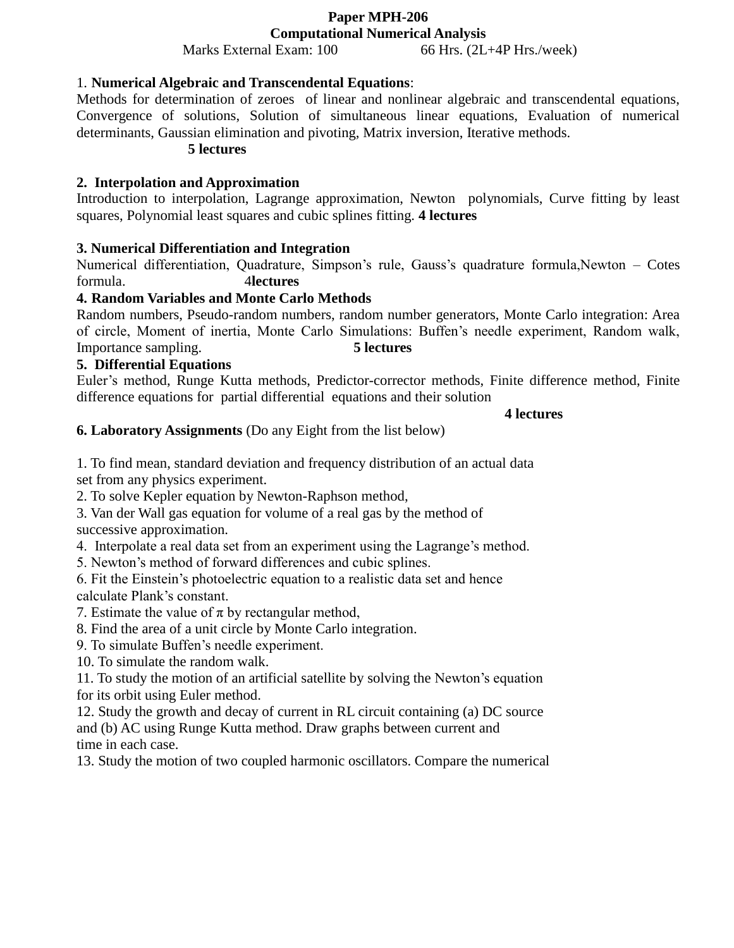# **Paper MPH-206**

**Computational Numerical Analysis** Marks External Exam: 100 66 Hrs. (2L+4P Hrs./week)

## 1. **Numerical Algebraic and Transcendental Equations**:

Methods for determination of zeroes of linear and nonlinear algebraic and transcendental equations, Convergence of solutions, Solution of simultaneous linear equations, Evaluation of numerical determinants, Gaussian elimination and pivoting, Matrix inversion, Iterative methods.

## **5 lectures**

## **2. Interpolation and Approximation**

Introduction to interpolation, Lagrange approximation, Newton polynomials, Curve fitting by least squares, Polynomial least squares and cubic splines fitting. **4 lectures**

## **3. Numerical Differentiation and Integration**

Numerical differentiation, Quadrature, Simpson's rule, Gauss's quadrature formula,Newton – Cotes formula. 4**lectures**

## **4. Random Variables and Monte Carlo Methods**

Random numbers, Pseudo-random numbers, random number generators, Monte Carlo integration: Area of circle, Moment of inertia, Monte Carlo Simulations: Buffen's needle experiment, Random walk, Importance sampling. **5 lectures** 

## **5. Differential Equations**

Euler's method, Runge Kutta methods, Predictor-corrector methods, Finite difference method, Finite difference equations for partial differential equations and their solution

## **4 lectures**

**6. Laboratory Assignments** (Do any Eight from the list below)

1. To find mean, standard deviation and frequency distribution of an actual data set from any physics experiment.

2. To solve Kepler equation by Newton-Raphson method,

3. Van der Wall gas equation for volume of a real gas by the method of

successive approximation.

4. Interpolate a real data set from an experiment using the Lagrange's method.

5. Newton's method of forward differences and cubic splines.

6. Fit the Einstein's photoelectric equation to a realistic data set and hence calculate Plank's constant.

7. Estimate the value of  $\pi$  by rectangular method,

8. Find the area of a unit circle by Monte Carlo integration.

9. To simulate Buffen's needle experiment.

10. To simulate the random walk.

11. To study the motion of an artificial satellite by solving the Newton's equation for its orbit using Euler method.

12. Study the growth and decay of current in RL circuit containing (a) DC source and (b) AC using Runge Kutta method. Draw graphs between current and time in each case.

13. Study the motion of two coupled harmonic oscillators. Compare the numerical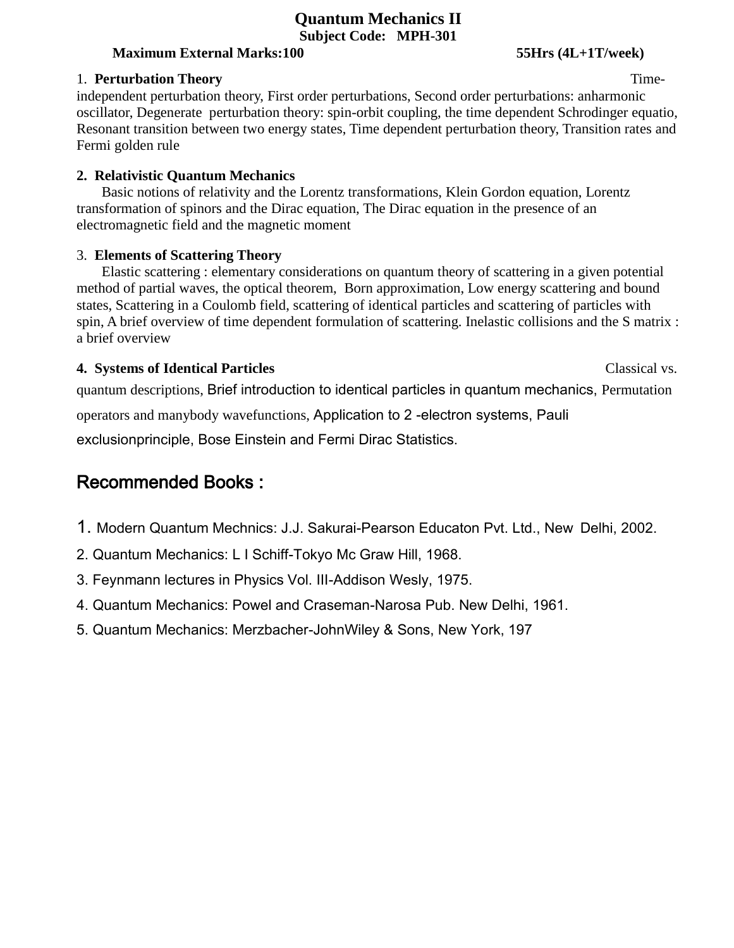## **Quantum Mechanics II Subject Code: MPH-301**

## **Maximum External Marks:100 55Hrs (4L+1T/week)**

## 1. **Perturbation Theory** Time-

independent perturbation theory, First order perturbations, Second order perturbations: anharmonic oscillator, Degenerate perturbation theory: spin-orbit coupling, the time dependent Schrodinger equatio, Resonant transition between two energy states, Time dependent perturbation theory, Transition rates and Fermi golden rule

## **2. Relativistic Quantum Mechanics**

Basic notions of relativity and the Lorentz transformations, Klein Gordon equation, Lorentz transformation of spinors and the Dirac equation, The Dirac equation in the presence of an electromagnetic field and the magnetic moment

## 3. **Elements of Scattering Theory**

Elastic scattering : elementary considerations on quantum theory of scattering in a given potential method of partial waves, the optical theorem, Born approximation, Low energy scattering and bound states, Scattering in a Coulomb field, scattering of identical particles and scattering of particles with spin, A brief overview of time dependent formulation of scattering. Inelastic collisions and the S matrix : a brief overview

## **4. Systems of Identical Particles** Classical vs.

quantum descriptions, Brief introduction to identical particles in quantum mechanics, Permutation operators and manybody wavefunctions, Application to 2 -electron systems, Pauli

exclusionprinciple, Bose Einstein and Fermi Dirac Statistics.

## Recommended Books :

- 1. Modern Quantum Mechnics: J.J. Sakurai-Pearson Educaton Pvt. Ltd., New Delhi, 2002.
- 2. Quantum Mechanics: L I Schiff-Tokyo Mc Graw Hill, 1968.
- 3. Feynmann lectures in Physics Vol. III-Addison Wesly, 1975.
- 4. Quantum Mechanics: Powel and Craseman-Narosa Pub. New Delhi, 1961.
- 5. Quantum Mechanics: Merzbacher-JohnWiley & Sons, New York, 197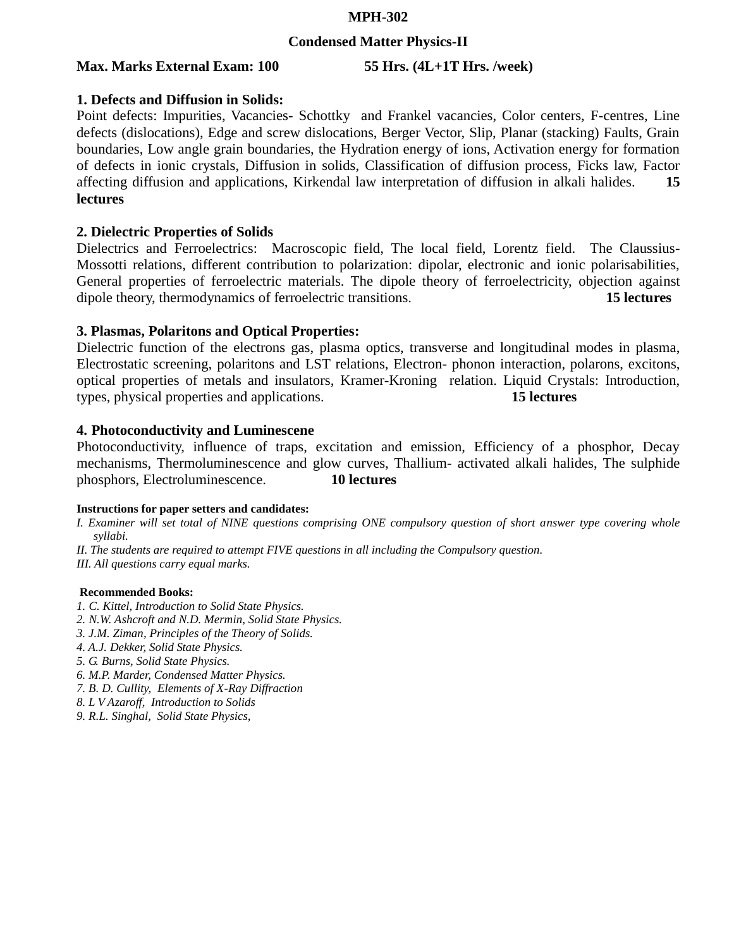## **MPH-302**

## **Condensed Matter Physics-II**

## **Max. Marks External Exam: 100 55 Hrs. (4L+1T Hrs. /week)**

## **1. Defects and Diffusion in Solids:**

Point defects: Impurities, Vacancies- Schottky and Frankel vacancies, Color centers, F-centres, Line defects (dislocations), Edge and screw dislocations, Berger Vector, Slip, Planar (stacking) Faults, Grain boundaries, Low angle grain boundaries, the Hydration energy of ions, Activation energy for formation of defects in ionic crystals, Diffusion in solids, Classification of diffusion process, Ficks law, Factor affecting diffusion and applications, Kirkendal law interpretation of diffusion in alkali halides. **15 lectures**

## **2. Dielectric Properties of Solids**

Dielectrics and Ferroelectrics: Macroscopic field, The local field, Lorentz field. The Claussius-Mossotti relations, different contribution to polarization: dipolar, electronic and ionic polarisabilities, General properties of ferroelectric materials. The dipole theory of ferroelectricity, objection against dipole theory, thermodynamics of ferroelectric transitions. **15 lectures**

## **3. Plasmas, Polaritons and Optical Properties:**

Dielectric function of the electrons gas, plasma optics, transverse and longitudinal modes in plasma, Electrostatic screening, polaritons and LST relations, Electron- phonon interaction, polarons, excitons, optical properties of metals and insulators, Kramer-Kroning relation. Liquid Crystals: Introduction, types, physical properties and applications. **15 lectures** 

## **4. Photoconductivity and Luminescene**

Photoconductivity, influence of traps, excitation and emission, Efficiency of a phosphor, Decay mechanisms, Thermoluminescence and glow curves, Thallium- activated alkali halides, The sulphide phosphors, Electroluminescence. **10 lectures**

### **Instructions for paper setters and candidates:**

*I. Examiner will set total of NINE questions comprising ONE compulsory question of short answer type covering whole syllabi.* 

*II. The students are required to attempt FIVE questions in all including the Compulsory question.* 

*III. All questions carry equal marks.* 

### **Recommended Books:**

- *1. C. Kittel, Introduction to Solid State Physics.*
- *2. N.W. Ashcroft and N.D. Mermin, Solid State Physics.*
- *3. J.M. Ziman, Principles of the Theory of Solids.*
- *4. A.J. Dekker, Solid State Physics.*
- *5. G. Burns, Solid State Physics.*
- *6. M.P. Marder, Condensed Matter Physics.*
- *7. B. D. Cullity, Elements of X-Ray Diffraction*
- *8. L V Azaroff, Introduction to Solids*
- *9. R.L. Singhal, Solid State Physics,*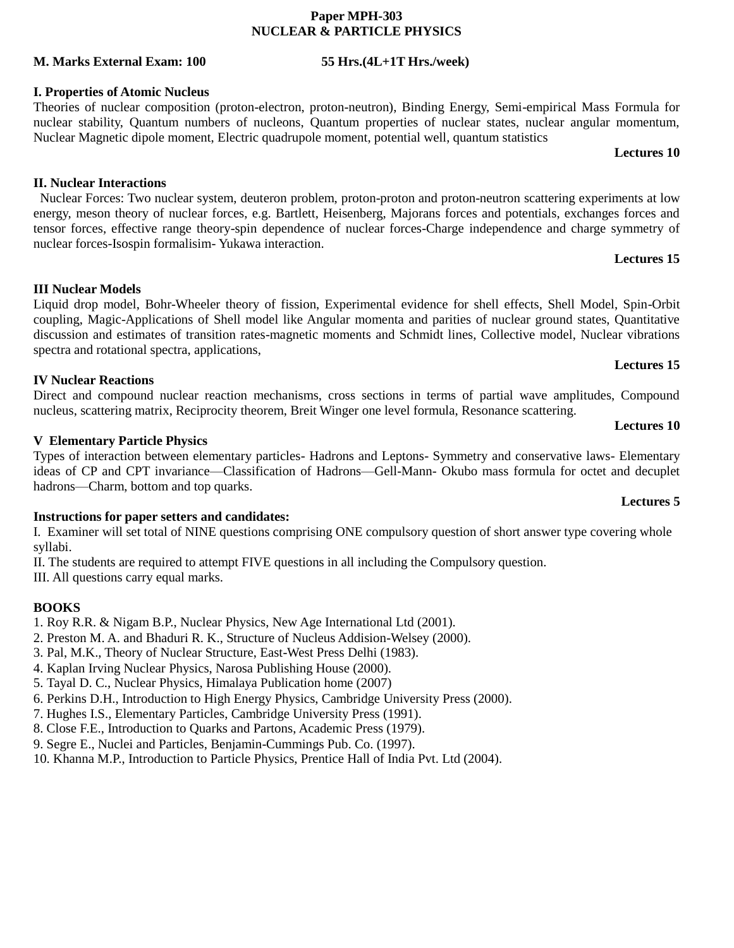## **Paper MPH-303 NUCLEAR & PARTICLE PHYSICS**

## **M. Marks External Exam: 100 55 Hrs.(4L+1T Hrs./week)**

## **I. Properties of Atomic Nucleus**

Theories of nuclear composition (proton-electron, proton-neutron), Binding Energy, Semi-empirical Mass Formula for nuclear stability, Quantum numbers of nucleons, Quantum properties of nuclear states, nuclear angular momentum, Nuclear Magnetic dipole moment, Electric quadrupole moment, potential well, quantum statistics

### **Lectures 10**

## **II. Nuclear Interactions**

 Nuclear Forces: Two nuclear system, deuteron problem, proton-proton and proton-neutron scattering experiments at low energy, meson theory of nuclear forces, e.g. Bartlett, Heisenberg, Majorans forces and potentials, exchanges forces and tensor forces, effective range theory-spin dependence of nuclear forces-Charge independence and charge symmetry of nuclear forces-Isospin formalisim- Yukawa interaction.

## **Lectures 15**

**Lectures 15**

**Lectures 10**

## **III Nuclear Models**

Liquid drop model, Bohr-Wheeler theory of fission, Experimental evidence for shell effects, Shell Model, Spin-Orbit coupling, Magic-Applications of Shell model like Angular momenta and parities of nuclear ground states, Quantitative discussion and estimates of transition rates-magnetic moments and Schmidt lines, Collective model, Nuclear vibrations spectra and rotational spectra, applications,

## **IV Nuclear Reactions**

Direct and compound nuclear reaction mechanisms, cross sections in terms of partial wave amplitudes, Compound nucleus, scattering matrix, Reciprocity theorem, Breit Winger one level formula, Resonance scattering.

## **V Elementary Particle Physics**

Types of interaction between elementary particles- Hadrons and Leptons- Symmetry and conservative laws- Elementary ideas of CP and CPT invariance—Classification of Hadrons—Gell-Mann- Okubo mass formula for octet and decuplet hadrons—Charm, bottom and top quarks.

## **Instructions for paper setters and candidates:**

I. Examiner will set total of NINE questions comprising ONE compulsory question of short answer type covering whole syllabi.

II. The students are required to attempt FIVE questions in all including the Compulsory question.

III. All questions carry equal marks.

## **BOOKS**

1. Roy R.R. & Nigam B.P., Nuclear Physics, New Age International Ltd (2001).

- 2. Preston M. A. and Bhaduri R. K., Structure of Nucleus Addision-Welsey (2000).
- 3. Pal, M.K., Theory of Nuclear Structure, East-West Press Delhi (1983).
- 4. Kaplan Irving Nuclear Physics, Narosa Publishing House (2000).
- 5. Tayal D. C., Nuclear Physics, Himalaya Publication home (2007)
- 6. Perkins D.H., Introduction to High Energy Physics, Cambridge University Press (2000).
- 7. Hughes I.S., Elementary Particles, Cambridge University Press (1991).
- 8. Close F.E., Introduction to Quarks and Partons, Academic Press (1979).
- 9. Segre E., Nuclei and Particles, Benjamin-Cummings Pub. Co. (1997).
- 10. Khanna M.P., Introduction to Particle Physics, Prentice Hall of India Pvt. Ltd (2004).

## **Lectures 5**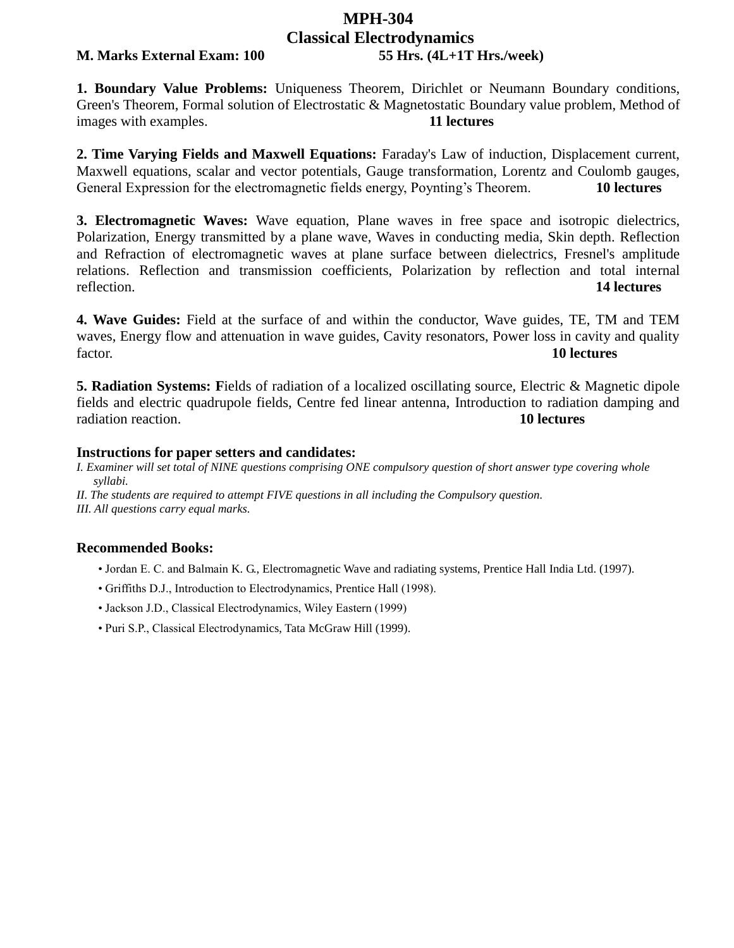# **MPH-304 Classical Electrodynamics**

## **M. Marks External Exam: 100 55 Hrs. (4L+1T Hrs./week)**

**1. Boundary Value Problems:** Uniqueness Theorem, Dirichlet or Neumann Boundary conditions, Green's Theorem, Formal solution of Electrostatic & Magnetostatic Boundary value problem, Method of images with examples. **11 lectures**

**2. Time Varying Fields and Maxwell Equations:** Faraday's Law of induction, Displacement current, Maxwell equations, scalar and vector potentials, Gauge transformation, Lorentz and Coulomb gauges, General Expression for the electromagnetic fields energy, Poynting's Theorem. **10 lectures**

**3. Electromagnetic Waves:** Wave equation, Plane waves in free space and isotropic dielectrics, Polarization, Energy transmitted by a plane wave, Waves in conducting media, Skin depth. Reflection and Refraction of electromagnetic waves at plane surface between dielectrics, Fresnel's amplitude relations. Reflection and transmission coefficients, Polarization by reflection and total internal reflection. **14 lectures**

**4. Wave Guides:** Field at the surface of and within the conductor, Wave guides, TE, TM and TEM waves, Energy flow and attenuation in wave guides, Cavity resonators, Power loss in cavity and quality factor. **10 lectures**

**5. Radiation Systems: F**ields of radiation of a localized oscillating source, Electric & Magnetic dipole fields and electric quadrupole fields, Centre fed linear antenna, Introduction to radiation damping and radiation reaction. **10 lectures**

### **Instructions for paper setters and candidates:**

*I. Examiner will set total of NINE questions comprising ONE compulsory question of short answer type covering whole syllabi.* 

*II. The students are required to attempt FIVE questions in all including the Compulsory question. III. All questions carry equal marks.* 

## **Recommended Books:**

- Jordan E. C. and Balmain K. G., Electromagnetic Wave and radiating systems, Prentice Hall India Ltd. (1997).
- Griffiths D.J., Introduction to Electrodynamics, Prentice Hall (1998).
- Jackson J.D., Classical Electrodynamics, Wiley Eastern (1999)
- Puri S.P., Classical Electrodynamics, Tata McGraw Hill (1999).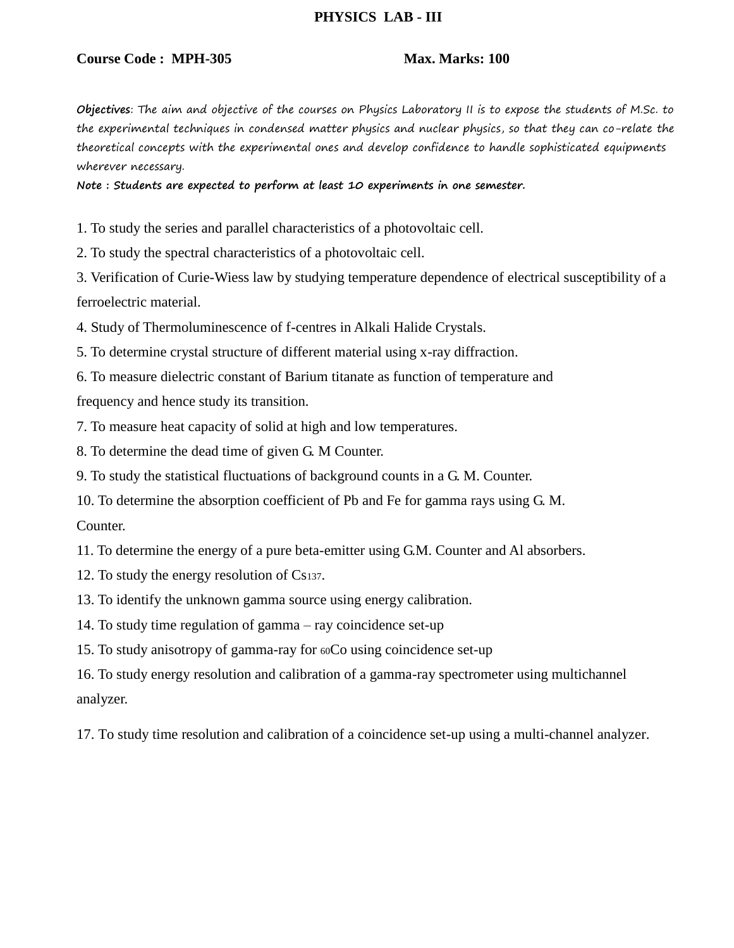## **PHYSICS LAB - III**

## **Course Code : MPH-305 Max. Marks: 100**

**Objectives**: The aim and objective of the courses on Physics Laboratory II is to expose the students of M.Sc. to the experimental techniques in condensed matter physics and nuclear physics, so that they can co-relate the theoretical concepts with the experimental ones and develop confidence to handle sophisticated equipments wherever necessary.

**Note : Students are expected to perform at least 10 experiments in one semester.**

1. To study the series and parallel characteristics of a photovoltaic cell.

2. To study the spectral characteristics of a photovoltaic cell.

3. Verification of Curie-Wiess law by studying temperature dependence of electrical susceptibility of a ferroelectric material.

4. Study of Thermoluminescence of f-centres in Alkali Halide Crystals.

5. To determine crystal structure of different material using x-ray diffraction.

6. To measure dielectric constant of Barium titanate as function of temperature and frequency and hence study its transition.

7. To measure heat capacity of solid at high and low temperatures.

8. To determine the dead time of given G. M Counter.

9. To study the statistical fluctuations of background counts in a G. M. Counter.

10. To determine the absorption coefficient of Pb and Fe for gamma rays using G. M.

Counter.

11. To determine the energy of a pure beta-emitter using G.M. Counter and Al absorbers.

12. To study the energy resolution of Cs137.

13. To identify the unknown gamma source using energy calibration.

14. To study time regulation of gamma – ray coincidence set-up

15. To study anisotropy of gamma-ray for 60Co using coincidence set-up

16. To study energy resolution and calibration of a gamma-ray spectrometer using multichannel analyzer.

17. To study time resolution and calibration of a coincidence set-up using a multi-channel analyzer.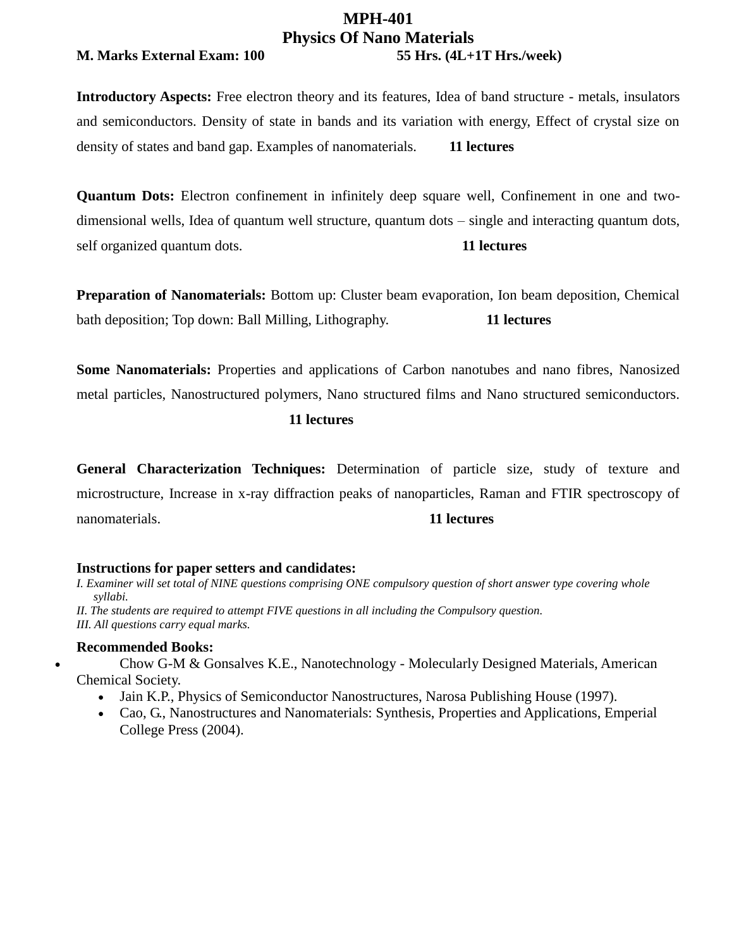## **MPH-401 Physics Of Nano Materials**

## **M. Marks External Exam: 100 55 Hrs. (4L+1T Hrs./week)**

**Introductory Aspects:** Free electron theory and its features, Idea of band structure - metals, insulators and semiconductors. Density of state in bands and its variation with energy, Effect of crystal size on density of states and band gap. Examples of nanomaterials. **11 lectures** 

**Quantum Dots:** Electron confinement in infinitely deep square well, Confinement in one and twodimensional wells, Idea of quantum well structure, quantum dots – single and interacting quantum dots, self organized quantum dots. **11 lectures**

**Preparation of Nanomaterials:** Bottom up: Cluster beam evaporation, Ion beam deposition, Chemical bath deposition; Top down: Ball Milling, Lithography. **11 lectures**

**Some Nanomaterials:** Properties and applications of Carbon nanotubes and nano fibres, Nanosized metal particles, Nanostructured polymers, Nano structured films and Nano structured semiconductors.

## **11 lectures**

**General Characterization Techniques:** Determination of particle size, study of texture and microstructure, Increase in x-ray diffraction peaks of nanoparticles, Raman and FTIR spectroscopy of nanomaterials. **11 lectures**

## **Instructions for paper setters and candidates:**

*I. Examiner will set total of NINE questions comprising ONE compulsory question of short answer type covering whole syllabi.* 

*II. The students are required to attempt FIVE questions in all including the Compulsory question. III. All questions carry equal marks.* 

## **Recommended Books:**

 Chow G-M & Gonsalves K.E., Nanotechnology - Molecularly Designed Materials, American Chemical Society.

- Jain K.P., Physics of Semiconductor Nanostructures, Narosa Publishing House (1997).
- Cao, G., Nanostructures and Nanomaterials: Synthesis, Properties and Applications, Emperial College Press (2004).